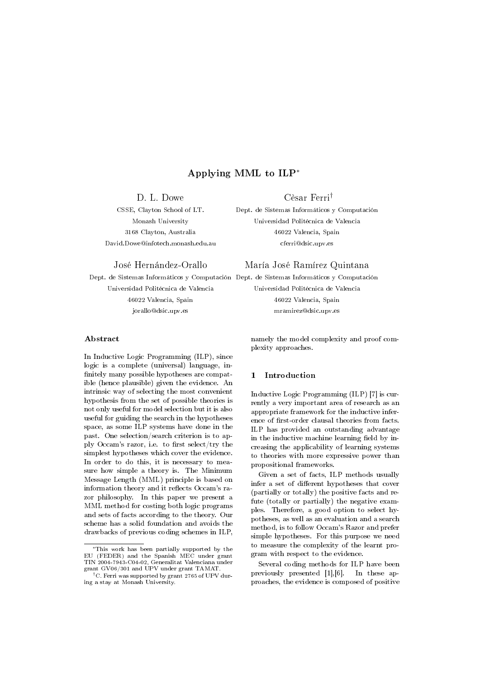# Applying MML to ILP<sup>∗</sup>

D. L. Dowe Cèsar Ferri†

CSSE, Clayton School of I.T. Dept. de Sistemas Informáticos y Computación Monash University Universidad Politécnica de Valencia 3168 Clayton, Australia 46022 Valencia, Spain David.Dowe@infotech.monash.edu.au cferri@dsic.upv.es

# José Hernández-Orallo María José Ramírez Quintana

Dept. de Sistemas Informáticos y Computación Dept. de Sistemas Informáticos y Computación

46022 Valencia, Spain 46022 Valencia, Spain

## Abstract

In Inductive Logic Programming (ILP), since logic is a complete (universal) language, in nitely many possible hypotheses are compatible (hence plausible) given the evidence. An intrinsic way of selecting the most convenient hypothesis from the set of possible theories is not only useful for model selection but it is also useful for guiding the search in the hypotheses space, as some ILP systems have done in the past. One selection/search criterion is to apply Occam's razor, i.e. to first select/try the simplest hypotheses which cover the evidence. In order to do this, it is necessary to measure how simple a theory is. The Minimum Message Length (MML) principle is based on information theory and it reflects Occam's razor philosophy. In this paper we present a MML method for costing both logic programs and sets of facts according to the theory. Our scheme has a solid foundation and avoids the drawbacks of previous coding schemes in ILP,

Universidad Politécnica de Valencia Universidad Politécnica de Valencia jorallo@dsic.upv.es mramirez@dsic.upv.es

> namely the model complexity and proof complexity approaches.

# 1 Introduction

Inductive Logic Programming (ILP) [7] is currently a very important area of research as an appropriate framework for the inductive inference of first-order clausal theories from facts. ILP has provided an outstanding advantage in the inductive machine learning field by increasing the applicability of learning systems to theories with more expressive power than propositional frameworks.

Given a set of facts, ILP methods usually infer a set of different hypotheses that cover (partially or totally) the positive facts and refute (totally or partially) the negative examples. Therefore, a good option to select hypotheses, as well as an evaluation and a search method, is to follow Occam's Razor and prefer simple hypotheses. For this purpose we need to measure the complexity of the learnt program with respect to the evidence.

Several coding methods for ILP have been previously presented [1],[6]. In these approaches, the evidence is composed of positive

<sup>∗</sup>This work has been partially supported by the EU (FEDER) and the Spanish MEC under grant TIN 2004-7943-C04-02, Generalitat Valenciana under grant GV06/301 and UPV under grant TAMAT.

<sup>†</sup>C. Ferri was supported by grant 2765 of UPV during a stay at Monash University.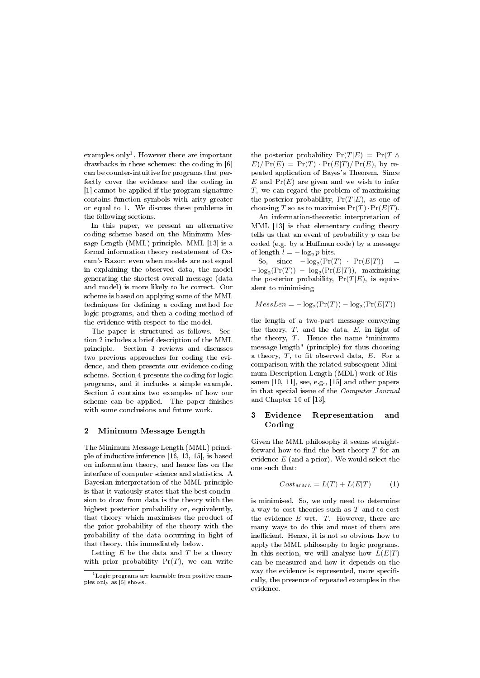examples only<sup>1</sup>. However there are important drawbacks in these schemes: the coding in [6] can be counter-intuitive for programs that perfectly cover the evidence and the coding in [1] cannot be applied if the program signature contains function symbols with arity greater or equal to 1. We discuss these problems in the following sections.

In this paper, we present an alternative coding scheme based on the Minimum Message Length (MML) principle. MML [13] is a formal information theory restatement of Occam's Razor: even when models are not equal in explaining the observed data, the model generating the shortest overall message (data and model) is more likely to be correct. Our scheme is based on applying some of the MML techniques for defining a coding method for logic programs, and then a coding method of the evidence with respect to the model.

The paper is structured as follows. Section 2 includes a brief description of the MML principle. Section 3 reviews and discusses two previous approaches for coding the evidence, and then presents our evidence coding scheme. Section 4 presents the coding for logic programs, and it includes a simple example. Section 5 contains two examples of how our scheme can be applied. The paper finishes with some conclusions and future work.

#### 2 Minimum Message Length

The Minimum Message Length (MML) principle of inductive inference [16, 13, 15], is based on information theory, and hence lies on the interface of computer science and statistics. A Bayesian interpretation of the MML principle is that it variously states that the best conclusion to draw from data is the theory with the highest posterior probability or, equivalently, that theory which maximises the product of the prior probability of the theory with the probability of the data occurring in light of that theory. this immediately below.

Letting  $E$  be the data and  $T$  be a theory with prior probability  $Pr(T)$ , we can write the posterior probability  $Pr(T|E) = Pr(T \wedge$  $E)/Pr(E) = Pr(T) \cdot Pr(E|T)/Pr(E)$ , by repeated application of Bayes's Theorem. Since  $E$  and  $Pr(E)$  are given and we wish to infer T, we can regard the problem of maximising the posterior probability,  $Pr(T|E)$ , as one of choosing T so as to maximise  $Pr(T) \cdot Pr(E|T)$ .

An information-theoretic interpretation of MML [13] is that elementary coding theory tells us that an event of probability  $p$  can be coded (e.g. by a Human code) by a message of length  $l = -\log_2 p$  bits.

So, since  $-\log_2(\Pr(T) \cdot \Pr(E|T)) =$  $-\log_2(\Pr(T)) - \log_2(\Pr(E|T))$ , maximising the posterior probability,  $Pr(T|E)$ , is equivalent to minimising

$$
Message = -\log_2(\Pr(T)) - \log_2(\Pr(E|T))
$$

the length of a two-part message conveying the theory,  $T$ , and the data,  $E$ , in light of the theory,  $T$ . Hence the name "minimum message length" (principle) for thus choosing a theory,  $T$ , to fit observed data,  $E$ . For a comparison with the related subsequent Minimum Description Length (MDL) work of Rissanen [10, 11], see, e.g., [15] and other papers in that special issue of the Computer Journal and Chapter 10 of [13].

# 3 Evidence Representation and Coding

Given the MML philosophy it seems straightforward how to find the best theory  $T$  for an evidence  $E$  (and a prior). We would select the one such that:

$$
Cost_{MML} = L(T) + L(E|T)
$$
 (1)

is minimised. So, we only need to determine a way to cost theories such as T and to cost the evidence  $E$  wrt.  $T$ . However, there are many ways to do this and most of them are inefficient. Hence, it is not so obvious how to apply the MML philosophy to logic programs. In this section, we will analyse how  $L(E|T)$ can be measured and how it depends on the way the evidence is represented, more specifically, the presence of repeated examples in the evidence.

 $1$ Logic programs are learnable from positive examples only as [5] shows.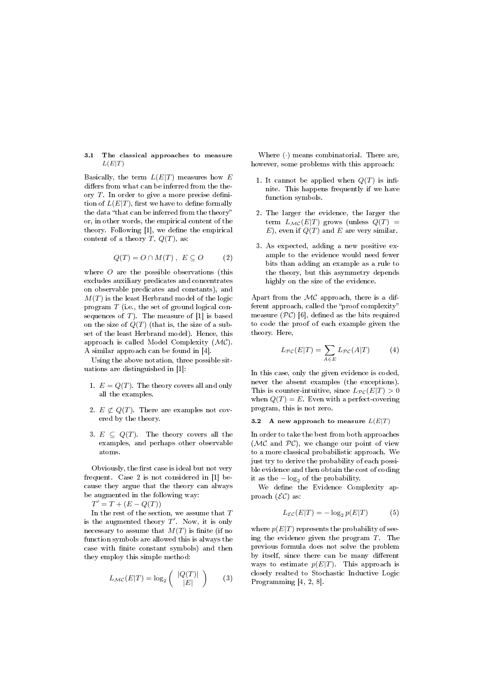#### 3.1 The classical approaches to measure  $L(E|T)$

Basically, the term  $L(E|T)$  measures how E differs from what can be inferred from the theory  $T$ . In order to give a more precise definition of  $L(E|T)$ , first we have to define formally the data "that can be inferred from the theory" or, in other words, the empirical content of the theory. Following  $[1]$ , we define the empirical content of a theory  $T$ ,  $Q(T)$ , as:

$$
Q(T) = O \cap M(T), \ E \subseteq O \qquad (2)
$$

where  $O$  are the possible observations (this excludes auxiliary predicates and concentrates on observable predicates and constants), and  $M(T)$  is the least Herbrand model of the logic program T (i.e., the set of ground logical consequences of  $T$ ). The measure of [1] is based on the size of  $Q(T)$  (that is, the size of a subset of the least Herbrand model). Hence, this approach is called Model Complexity  $(\mathcal{MC})$ . A similar approach can be found in [4].

Using the above notation, three possible situations are distinguished in [1]:

- 1.  $E = Q(T)$ . The theory covers all and only all the examples.
- 2.  $E \not\subset Q(T)$ . There are examples not covered by the theory.
- 3.  $E \subseteq Q(T)$ . The theory covers all the examples, and perhaps other observable atoms.

Obviously, the first case is ideal but not very frequent. Case 2 is not considered in [1] because they argue that the theory can always be augmented in the following way:

 $T' = T + (E - Q(T))$ 

In the rest of the section, we assume that  $T$ is the augmented theory  $T'$ . Now, it is only necessary to assume that  $M(T)$  is finite (if no function symbols are allowed this is always the case with finite constant symbols) and then they employ this simple method:

$$
L_{\mathcal{MC}}(E|T) = \log_2 \left( \begin{array}{c} |Q(T)| \\ |E| \end{array} \right) \qquad (3)
$$

Where (·) means combinatorial. There are, however, some problems with this approach:

- 1. It cannot be applied when  $Q(T)$  is infinite. This happens frequently if we have function symbols.
- 2. The larger the evidence, the larger the term  $L_{\mathcal{MC}}(E|T)$  grows (unless  $Q(T)$  =  $E$ , even if  $Q(T)$  and  $E$  are very similar.
- 3. As expected, adding a new positive example to the evidence would need fewer bits than adding an example as a rule to the theory, but this asymmetry depends highly on the size of the evidence.

Apart from the  $MC$  approach, there is a different approach, called the "proof complexity" measure  $(\mathcal{PC})$  [6], defined as the bits required to code the proof of each example given the theory. Here,

$$
L_{\mathcal{PC}}(E|T) = \sum_{A \in E} L_{\mathcal{PC}}(A|T) \tag{4}
$$

In this case, only the given evidence is coded, never the absent examples (the exceptions). This is counter-intuitive, since  $L_{\mathcal{PC}}(E|T) > 0$ when  $Q(T) = E$ . Even with a perfect-covering program, this is not zero.

# 3.2 A new approach to measure  $L(E|T)$

In order to take the best from both approaches ( $MC$  and  $PC$ ), we change our point of view to a more classical probabilistic approach. We just try to derive the probability of each possible evidence and then obtain the cost of coding it as the  $-\log_2$  of the probability.

We define the Evidence Complexity approach  $(\mathcal{EC})$  as:

$$
L_{\mathcal{EC}}(E|T) = -\log_2 p(E|T) \tag{5}
$$

where  $p(E|T)$  represents the probability of seeing the evidence given the program  $T$ . The previous formula does not solve the problem by itself, since there can be many different ways to estimate  $p(E|T)$ . This approach is closely realted to Stochastic Inductive Logic Programming [4, 2, 8].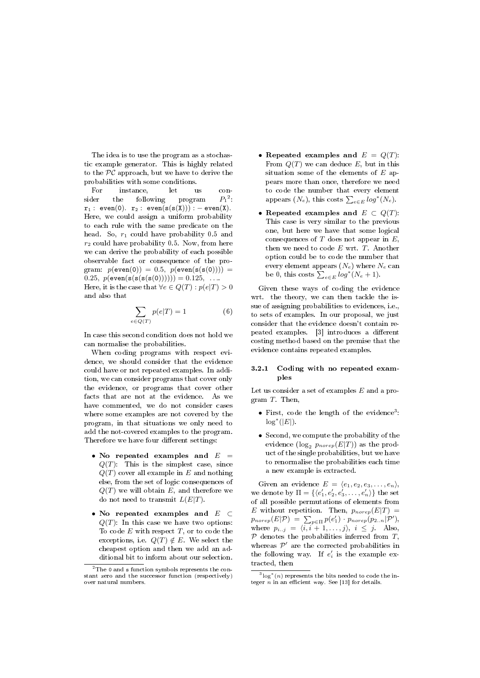The idea is to use the program as a stochastic example generator. This is highly related to the  $PC$  approach, but we have to derive the probabilities with some conditions.

For instance, let us consider the following program 2 :  $r_1$ : even(0).  $r_2$ : even(s(s(X))) : – even(X). Here, we could assign a uniform probability to each rule with the same predicate on the head. So,  $r_1$  could have probability 0.5 and  $r_2$  could have probability 0.5. Now, from here we can derive the probability of each possible observable fact or consequence of the program:  $p(\text{even}(0)) = 0.5$ ,  $p(\text{even}(s(s(0)))) = 0$ 0.25,  $p(\text{even}(s(s(s(0)))))) = 0.125, \ldots$ Here, it is the case that  $\forall e \in Q(T) : p(e|T) > 0$ and also that

$$
\sum_{e \in Q(T)} p(e|T) = 1 \tag{6}
$$

In case this second condition does not hold we can normalise the probabilities.

When coding programs with respect evidence, we should consider that the evidence could have or not repeated examples. In addition, we can consider programs that cover only the evidence, or programs that cover other facts that are not at the evidence. As we have commented, we do not consider cases where some examples are not covered by the program, in that situations we only need to add the not-covered examples to the program. Therefore we have four different settings:

- No repeated examples and  $E =$  $Q(T)$ : This is the simplest case, since  $Q(T)$  cover all example in E and nothing else, from the set of logic consequences of  $Q(T)$  we will obtain E, and therefore we do not need to transmit  $L(E|T)$ .
- No repeated examples and E ⊂  $Q(T)$ : In this case we have two options: To code  $E$  with respect  $T$ , or to code the exceptions, i.e.  $Q(T) \notin E$ . We select the cheapest option and then we add an additional bit to inform about our selection.
- Repeated examples and  $E = Q(T)$ : From  $Q(T)$  we can deduce E, but in this situation some of the elements of  $E$  appears more than once, therefore we need to code the number that every element appears  $(N_e)$ , this costs  $\sum_{e \in E} log^*(N_e)$ .
- Repeated examples and  $E \subset Q(T)$ : This case is very similar to the previous one, but here we have that some logical consequences of  $T$  does not appear in  $E$ , then we need to code E wrt. T. Another option could be to code the number that every element appears  $(N_e)$  where  $N_e$  can be 0, this costs  $\sum_{e \in E} log^*(N_e + 1)$ .

Given these ways of coding the evidence wrt. the theory, we can then tackle the issue of assigning probabilities to evidences, i.e., to sets of examples. In our proposal, we just consider that the evidence doesn't contain repeated examples. [3] introduces a different costing method based on the premise that the evidence contains repeated examples.

## 3.2.1 Coding with no repeated examples

Let us consider a set of examples  $E$  and a program T. Then,

- $\bullet$  First, code the length of the evidence<sup>3</sup>:  $\log^*(|E|)$ .
- Second, we compute the probability of the evidence  $(\log_2 p_{morep}(E|T))$  as the product of the single probabilities, but we have to renormalise the probabilities each time a new example is extracted.

Given an evidence  $E = \langle e_1, e_2, e_3, \ldots, e_n \rangle$ , we denote by  $\Pi = \{\langle e'_1, e'_2, e'_3, \ldots, e'_n \rangle\}$  the set of all possible permutations of elements from E without repetition. Then,  $p_{norep}(E|T) =$  $p_{morep}(E|\mathcal{P}) = \sum_{p \in \Pi} p(e'_1) \cdot p_{morep}(p_{2..n}|\mathcal{P}'),$ where  $p_{i..j} = \langle i, i + 1, \ldots, j \rangle, i \leq j$ . Also,  $P$  denotes the probabilities inferred from  $T$ , whereas  $\mathcal{P}'$  are the corrected probabilities in the following way. If  $e'_i$  is the example extracted, then

<sup>&</sup>lt;sup>2</sup>The 0 and s function symbols represents the constant zero and the successor function (respectively) over natural numbers.

 $3\log^*(n)$  represents the bits needed to code the integer  $n$  in an efficient way. See [13] for details.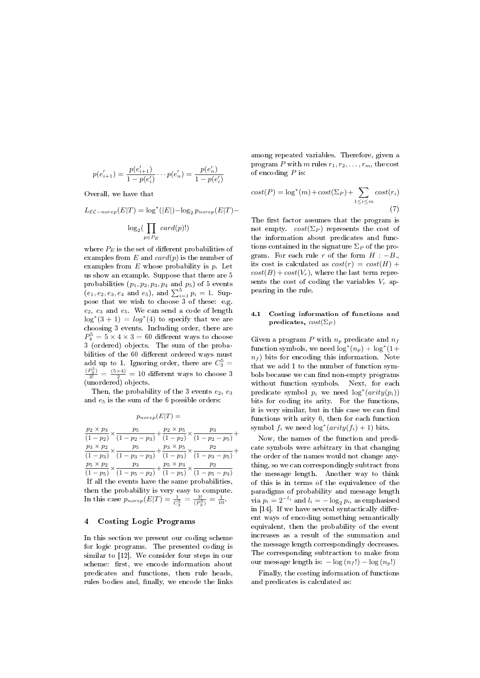$$
p(e'_{i+1}) = \frac{p(e'_{i+1})}{1 - p(e'_i)} \cdots p(e'_n) = \frac{p(e'_n)}{1 - p(e'_i)}
$$

Overall, we have that

 $L_{\mathcal{EC}-norep}(E|T) = \log^*(|E|) - \log_2 p_{norep}(E|T) -$ 

$$
\log_2(\prod_{p \in P_E} card(p)!)
$$

where  $P_E$  is the set of different probabilities of examples from  $E$  and  $card(p)$  is the number of examples from  $E$  whose probability is  $p$ . Let us show an example. Suppose that there are 5 probabilities  $(p_1, p_2, p_3, p_4 \text{ and } p_5)$  of 5 events  $(e_1, e_2, e_3, e_4 \text{ and } e_5), \text{ and } \sum_{i=1}^5 p_i = 1.$  Suppose that we wish to choose 3 of these: e.g.  $e_2, e_3$  and  $e_5$ . We can send a code of length  $\log^*(3+1) = \log^*(4)$  to specify that we are choosing 3 events. Including order, there are  $P_4^5 = 5 \times 4 \times 3 = 60$  different ways to choose 3 (ordered) objects. The sum of the probabilities of the 60 different ordered ways must add up to 1. Ignoring order, there are  $C_3^5 =$  $\frac{(P_3^5)}{3!} = \frac{(5 \times 4)}{2} = 10$  different ways to choose 3 (unordered) objects.

Then, the probability of the 3 events  $e_2, e_3$ and  $e_5$  is the sum of the 6 possible orders:

 $p_{morep}(E|T) =$ 

 $p_2 \times p_3$  $\frac{p_2 \times p_3}{(1 - p_2)} \times \frac{p_5}{(1 - p_2)}$  $\frac{p_5}{(1-p_2-p_3)} + \frac{p_2 \times p_5}{(1-p_2)}$  $\frac{p_2 \times p_5}{(1 - p_2)} \times \frac{p_3}{(1 - p_2)}$  $\frac{P_3}{(1-p_2-p_5)} +$  $p_3 \times p_2$  $\frac{p_3 \times p_2}{(1 - p_3)} \times \frac{p_5}{(1 - p_3)}$  $\frac{p_5}{(1-p_3-p_2)} + \frac{p_3 \times p_5}{(1-p_3)}$  $\frac{p_3 \times p_5}{(1 - p_3)} \times \frac{p_2}{(1 - p_3)}$  $\frac{P_2}{(1-p_3-p_5)} +$  $p_5 \times p_2$  $\frac{p_5 \times p_2}{(1 - p_5)} \times \frac{p_3}{(1 - p_5)}$  $\frac{p_3}{(1-p_5-p_2)} + \frac{p_5 \times p_3}{(1-p_5)}$  $\frac{p_5 \times p_3}{(1 - p_5)} \times \frac{p_2}{(1 - p_5)}$  $(1-p_5-p_3)$ If all the events have the same probabilities, then the probability is very easy to compute. In this case  $p_{norep}(E|T) = \frac{1}{C_3^5} = \frac{3!}{(P_3^5)} = \frac{1}{10}$ .

# 4 Costing Logic Programs

In this section we present our coding scheme for logic programs. The presented coding is similar to [12]. We consider four steps in our scheme: first, we encode information about predicates and functions, then rule heads, rules bodies and, finally, we encode the links

among repeated variables. Therefore, given a program P with m rules  $r_1, r_2, \ldots, r_m$ , the cost of encoding  $P$  is:

$$
cost(P) = \log^*(m) + cost(\Sigma_P) + \sum_{1 \le i \le m} cost(r_i)
$$
\n(7)

The first factor assumes that the program is not empty.  $cost(\Sigma_P)$  represents the cost of the information about predicates and functions contained in the signature  $\Sigma_P$  of the program. For each rule r of the form  $H : -B$ . its cost is calculated as  $cost(r) = cost(H) +$  $cost(B) + cost(V_r)$ , where the last term represents the cost of coding the variables  $V_r$  appearing in the rule.

## 4.1 Costing information of functions and predicates,  $cost(\Sigma_P)$

Given a program P with  $n_p$  predicate and  $n_f$  $\text{function symbols, we need } \log^*(n_p) + \log^*(1 +$  $n_f$ ) bits for encoding this information. Note that we add 1 to the number of function symbols because we can find non-empty programs without function symbols. Next, for each predicate symbol  $p_i$  we need  $\log^*(arity(p_i))$ bits for coding its arity. For the functions, it is very similar, but in this case we can find functions with arity 0, then for each function symbol  $f_i$  we need  $\log^*(arity(f_i) + 1)$  bits.

Now, the names of the function and predicate symbols were arbitrary in that changing the order of the names would not change anything, so we can correspondingly subtract from the message length. Another way to think of this is in terms of the equivalence of the paradigms of probability and message length via  $p_i = 2^{-l_i}$  and  $l_i = -\log_2 p_i$ , as emphasised in  $[14]$ . If we have several syntactically different ways of encoding something semantically equivalent, then the probability of the event increases as a result of the summation and the message length correspondingly decreases. The corresponding subtraction to make from our message length is:  $-\log(n_f!) - \log(n_p!)$ 

Finally, the costing information of functions and predicates is calculated as: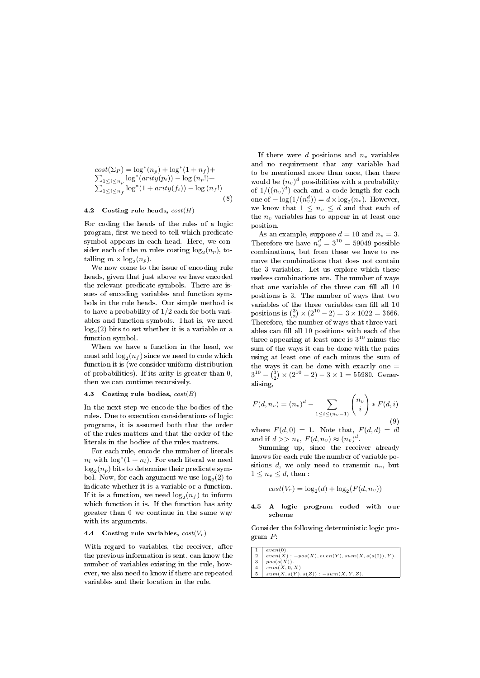$cost(\Sigma_P) = \log^*(n_p) + \log^*(1 + n_f) +$  $\sum_{1 \leq i \leq n_p} \log^*(arity(p_i)) - \log(n_p!) +$  $\sum_{1 \leq i \leq n_f} \log^* (1 + arity(f_i)) - \log (n_f!)$ (8)

# 4.2 Costing rule heads,  $cost(H)$

For coding the heads of the rules of a logic program, first we need to tell which predicate symbol appears in each head. Here, we consider each of the m rules costing  $\log_2(n_p)$ , totalling  $m \times \log_2(n_p)$ .

We now come to the issue of encoding rule heads, given that just above we have encoded the relevant predicate symbols. There are issues of encoding variables and function symbols in the rule heads. Our simple method is to have a probability of 1/2 each for both variables and function symbols. That is, we need  $\log_2(2)$  bits to set whether it is a variable or a function symbol.

When we have a function in the head, we  $\operatorname{must}\nolimits$  add  $\log_2(n_f)\nolimits$  since we need to code which function it is (we consider uniform distribution of probabilities). If its arity is greater than 0, then we can continue recursively.

## 4.3 Costing rule bodies,  $cost(B)$

In the next step we encode the bodies of the rules. Due to execution considerations of logic programs, it is assumed both that the order of the rules matters and that the order of the literals in the bodies of the rules matters.

For each rule, encode the number of literals  $n_l$  with  $\log^*(1 + n_l)$ . For each literal we need  $\log_2 (n_p)$  bits to determine their predicate symbol. Now, for each argument we use  $\log_2(2)$  to indicate whether it is a variable or a function. If it is a function, we need  $\log_2(n_f)$  to inform which function it is. If the function has arity greater than 0 we continue in the same way with its arguments.

#### 4.4 Costing rule variables,  $cost(V_r)$

With regard to variables, the receiver, after the previous information is sent, can know the number of variables existing in the rule, however, we also need to know if there are repeated variables and their location in the rule.

If there were d positions and  $n_v$  variables and no requirement that any variable had to be mentioned more than once, then there would be  $(n_v)^d$  possibilities with a probability of  $1/((n_v)^d)$  each and a code length for each one of  $-\log(1/(n_v^d)) = d \times \log_2(n_v)$ . However, we know that  $1 \leq n_v \leq d$  and that each of the  $n_v$  variables has to appear in at least one position.

As an example, suppose  $d = 10$  and  $n_v = 3$ . Therefore we have  $n_v^d = 3^{10} = 59049$  possible combinations, but from these we have to remove the combinations that does not contain the 3 variables. Let us explore which these useless combinations are. The number of ways that one variable of the three can fill all 10 positions is 3. The number of ways that two variables of the three variables can fill all 10  $\text{positions is } \binom{3}{2} \times (2^{10} - 2) = 3 \times 1022 = 3666.$ Therefore, the number of ways that three variables can fill all 10 positions with each of the three appearing at least once is  $3^{10}$  minus the sum of the ways it can be done with the pairs using at least one of each minus the sum of the ways it can be done with exactly one  $=$  $3^{10} - {3 \choose 2} \times (2^{10} - 2) - 3 \times 1 = 55980.$  Generalising,

$$
F(d, n_v) = (n_v)^d - \sum_{1 \le i \le (n_v - 1)} \binom{n_v}{i} * F(d, i)
$$
\n(9)

where  $F(d, 0) = 1$ . Note that,  $F(d, d) = d!$ and if  $d >> n_v$ ,  $F(d, n_v) \approx (n_v)^d$ .

Summing up, since the receiver already knows for each rule the number of variable positions d, we only need to transmit  $n_v$ , but  $1 \leq n_v \leq d$ , then :

$$
cost(V_r) = \log_2(d) + \log_2(F(d, n_v))
$$

#### 4.5 A logic program coded with our scheme

Consider the following deterministic logic program P:

| $1 \mid even(0).$                                     |
|-------------------------------------------------------|
| 2   $even(X) : -pos(X), even(Y), sum(X, s(s(0)), Y).$ |
| $3 \mid pos(s(X)).$                                   |
| $4 \; sum(X, 0, X).$                                  |
| $5 \mid sum(X, s(Y), s(Z)) : -sum(X, Y, Z).$          |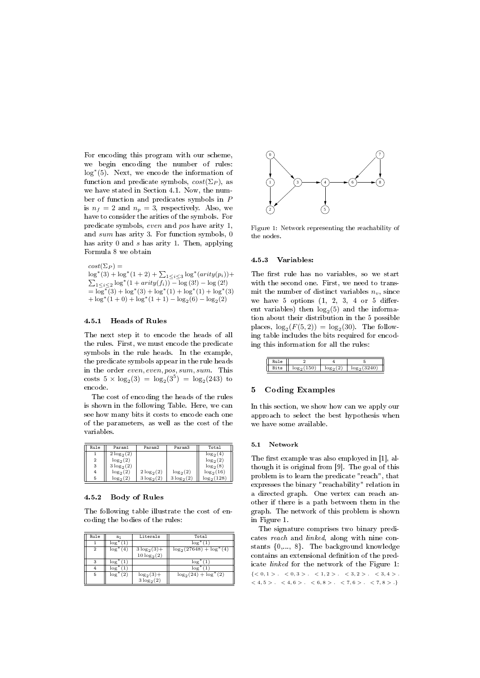For encoding this program with our scheme, we begin encoding the number of rules: log<sup>∗</sup> (5). Next, we encode the information of function and predicate symbols,  $cost(\Sigma_P)$ , as we have stated in Section 4.1. Now, the number of function and predicates symbols in P is  $n_f = 2$  and  $n_p = 3$ , respectively. Also, we have to consider the arities of the symbols. For predicate symbols, even and pos have arity 1, and sum has arity 3. For function symbols, 0 has arity 0 and s has arity 1. Then, applying Formula 8 we obtain

 $cost(\Sigma_P) =$  $\log^*(3) + \log^*(1+2) + \sum_{1 \leq i \leq 3} \log^*(arity(p_i)) +$  $\sum_{1 \le i \le 2} \log^* (1 + arity(f_i)) - \log (3!) - \log (2!)$  $=\overline{\log^*}(3) + \log^*(3) + \log^*(1) + \log^*(1) + \log^*(3)$  $+\log^*(1+0) + \log^*(1+1) - \log_2(6) - \log_2(2)$ 

#### 4.5.1 Heads of Rules

The next step it to encode the heads of all the rules. First, we must encode the predicate symbols in the rule heads. In the example, the predicate symbols appear in the rule heads in the order even, even, pos, sum, sum. This costs  $5 \times \log_2(3) = \log_2(3^5) = \log_2(243)$  to encode.

The cost of encoding the heads of the rules is shown in the following Table. Here, we can see how many bits it costs to encode each one of the parameters, as well as the cost of the variables.

| Rule           | Param1       | Param2       | Param3       | Total        |
|----------------|--------------|--------------|--------------|--------------|
|                | $2\log_2(2)$ |              |              | $\log_2(4)$  |
| $\overline{2}$ | $\log_2(2)$  |              |              | $\log_2(2)$  |
| 3              | $3\log_2(2)$ |              |              | $\log_2(8)$  |
| 4              | $\log_2(2)$  | $2\log_2(2)$ | $\log_2(2)$  | $\log_2(16)$ |
| 5              | $\log_2(2)$  | $3\log_2(2)$ | $3\log_2(2)$ | $log_2(128)$ |

#### 4.5.2 Body of Rules

The following table illustrate the cost of encoding the bodies of the rules:

| Rule | n٦             | Literals       | Total                       |
|------|----------------|----------------|-----------------------------|
|      | $\log^*(1)$    |                | $\log^*(1)$                 |
| 2    | $\log^*(4)$    | $3\log_2(3) +$ | $\log_2(27648) + \log^*(4)$ |
|      |                | $10\log_2(2)$  |                             |
|      | $log^*(1)$     |                | $log^*(1)$                  |
|      | $\log^*(1)$    |                | $\log^*(1)$                 |
| 5    | $log^*$<br>(2) | $log_2(3) +$   | $\log_2(24) + \log^*(2)$    |
|      |                | $3\log_2(2)$   |                             |



Figure 1: Network representing the reachability of the nodes.

# 4.5.3 Variables:

The first rule has no variables, so we start with the second one. First, we need to transmit the number of distinct variables  $n_v$ , since we have  $5$  options  $(1, 2, 3, 4)$  or  $5$  different variables) then  $log_2(5)$  and the information about their distribution in the 5 possible places,  $\log_2(F(5,2)) = \log_2(30)$ . The following table includes the bits required for encoding this information for all the rules:

| Rule |      |             |               |
|------|------|-------------|---------------|
| Bits | 150) | $\log_2(2)$ | $log_2(3240)$ |

#### 5 Coding Examples

In this section, we show how can we apply our approach to select the best hypothesis when we have some available.

#### 5.1 Network

The first example was also employed in  $[1]$ , although it is original from [9]. The goal of this problem is to learn the predicate "reach", that expresses the binary "reachability" relation in a directed graph. One vertex can reach another if there is a path between them in the graph. The network of this problem is shown in Figure 1.

The signature comprises two binary predicates reach and linked, along with nine constants {0,..., 8}. The background knowledge contains an extensional definition of the predicate linked for the network of the Figure 1:  $\{ <0, 1> . \hspace{0.2cm} <0, 3> . \hspace{0.2cm} <1, 2> . \hspace{0.2cm} <3, 2> . \hspace{0.2cm} <3, 4> . \hspace{0.2cm}$  $< 4, 5 > . < 4, 6 > . < 6, 8 > . < 7, 6 > . < 7, 8 > .$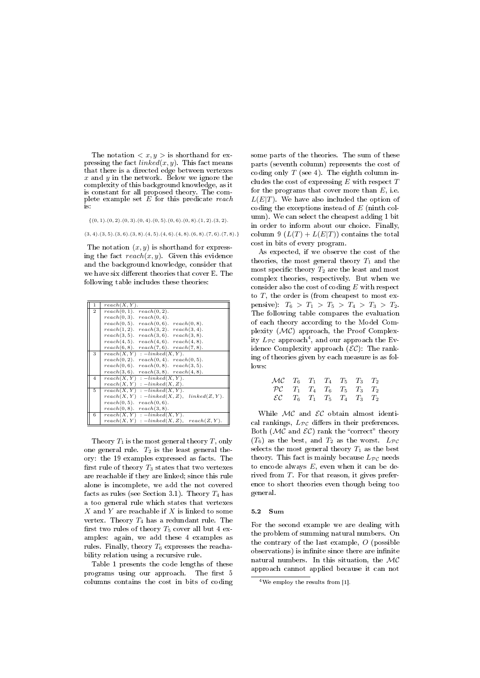The notation  $\langle x, y \rangle$  is shorthand for expressing the fact  $linked(x, y)$ . This fact means that there is a directed edge between vertexes  $x$  and  $y$  in the network. Below we ignore the complexity of this background knowledge, as it is constant for all proposed theory. The complete example set  $E$  for this predicate reach is:

 $\{(0,1),(0,2),(0,3),(0,4),(0,5),(0,6),(0,8),(1,2),(3,2).$ 

 $(3, 4)$ . $(3, 5)$ . $(3, 6)$ . $(3, 8)$ . $(4, 5)$ . $(4, 6)$ . $(4, 8)$ . $(6, 8)$ . $(7, 6)$ . $(7, 8)$ .}

The notation  $(x, y)$  is shorthand for expressing the fact  $reach(x, y)$ . Given this evidence and the background knowledge, consider that we have six different theories that cover E. The following table includes these theories:

| 1              | reach(X, Y).                                       |
|----------------|----------------------------------------------------|
| $\overline{2}$ | $reach(0, 1)$ . $reach(0, 2)$ .                    |
|                | $reach(0, 3)$ .<br>reach(0, 4).                    |
|                | $reach(0, 5)$ .<br>$reach(0, 6)$ . $reach(0, 8)$ . |
|                | $reach(1, 2)$ . $reach(3, 2)$ . $reach(3, 4)$ .    |
|                | $reach(3, 5)$ . $reach(3, 6)$ . $reach(3, 8)$ .    |
|                | $reach(4, 5)$ . $reach(4, 6)$ . $reach(4, 8)$ .    |
|                | $reach(7, 6)$ . $reach(7, 8)$ .<br>$reach(6, 8)$ . |
| 3              | reach(X, Y)<br>$: -linked(X, Y).$                  |
|                | reach(0, 2).<br>$reach(0, 4)$ . $reach(0, 5)$ .    |
|                | $reach(0, 6)$ .<br>$reach(0, 8)$ . $reach(3, 5)$ . |
|                | $reach(3, 6)$ . $reach(3, 8)$ . $reach(4, 8)$ .    |
| 4              | $reach(X, Y) : -linked(X, Y).$                     |
|                | $reach(X, Y) : -linked(X, Z).$                     |
| 5.             | $reach(X, Y) : -linked(X, Y).$                     |
|                | $reach(X, Y) : -linked(X, Z),$<br>linked(Z, Y).    |
|                | $reach(0, 5)$ .<br>reach(0, 6).                    |
|                | $reach(0, 8)$ .<br>reach(3, 8).                    |
| 6              | $reach(X, Y) : -linked(X, Y).$                     |
|                | $reach(X, Y) : -linked(X, Z),$<br>reach(Z, Y).     |

Theory  $T_1$  is the most general theory  $T$ , only one general rule.  $T_2$  is the least general theory: the 19 examples expressed as facts. The first rule of theory  $T_3$  states that two vertexes are reachable if they are linked; since this rule alone is incomplete, we add the not covered facts as rules (see Section 3.1). Theory  $T_4$  has a too general rule which states that vertexes  $X$  and  $Y$  are reachable if  $X$  is linked to some vertex. Theory  $T_4$  has a redundant rule. The first two rules of theory  $T_5$  cover all but 4 examples: again, we add these 4 examples as rules. Finally, theory  $T_6$  expresses the reachability relation using a recursive rule.

Table 1 presents the code lengths of these programs using our approach. The first 5 columns contains the cost in bits of coding some parts of the theories. The sum of these parts (seventh column) represents the cost of coding only  $T$  (see 4). The eighth column includes the cost of expressing  $E$  with respect  $T$ for the programs that cover more than  $E$ , i.e.  $L(E|T)$ . We have also included the option of coding the exceptions instead of E (ninth column). We can select the cheapest adding 1 bit in order to inform about our choice. Finally, column 9  $(L(T) + L(E|T))$  contains the total cost in bits of every program.

As expected, if we observe the cost of the theories, the most general theory  $T_1$  and the most specific theory  $T_2$  are the least and most complex theories, respectively. But when we consider also the cost of coding E with respect to  $T$ , the order is (from cheapest to most expensive):  $T_6 > T_1 > T_5 > T_4 > T_3 > T_2$ . The following table compares the evaluation of each theory according to the Model Complexity (MC) approach, the Proof Complexity  $L_{\mathcal{PC}}$  approach<sup>4</sup>, and our approach the Evidence Complexity approach  $(\mathcal{EC})$ : The ranking of theories given by each measure is as follows:

| $\mathcal{MC}$ $T_6$ $T_1$ $T_4$ $T_5$ $T_3$ $T_2$ |  |  |  |
|----------------------------------------------------|--|--|--|
| $\mathcal{PC}$ $T_1$ $T_4$ $T_6$ $T_5$ $T_3$ $T_2$ |  |  |  |
| $\mathcal{EC}$ $T_6$ $T_1$ $T_5$ $T_4$ $T_3$ $T_2$ |  |  |  |

While  $MC$  and  $EC$  obtain almost identical rankings,  $L_{\mathcal{PC}}$  differs in their preferences. Both ( $MC$  and  $EC$ ) rank the "correct" theory  $(T_6)$  as the best, and  $T_2$  as the worst.  $L_{\mathcal{PC}}$ selects the most general theory  $T_1$  as the best theory. This fact is mainly because  $L_{\mathcal{PC}}$  needs to encode always  $E$ , even when it can be derived from T. For that reason, it gives preference to short theories even though being too general.

#### 5.2 Sum

For the second example we are dealing with the problem of summing natural numbers. On the contrary of the last example, O (possible observations) is infinite since there are infinite natural numbers. In this situation, the  $MC$ approach cannot applied because it can not

<sup>4</sup>We employ the results from [1].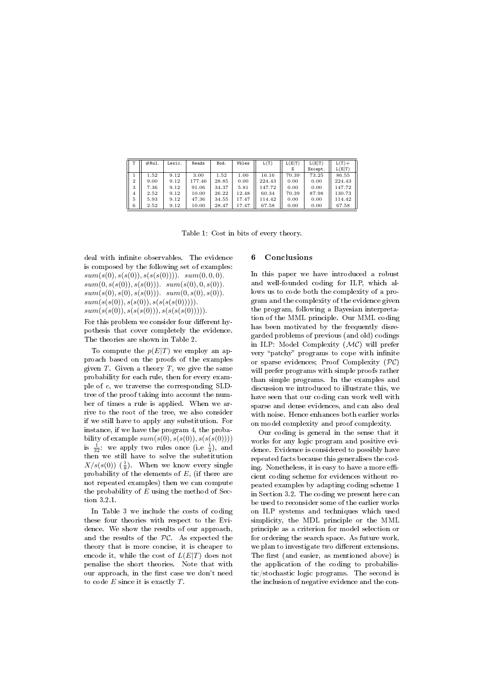|                | #Rul. | Lexic. | Heads  | Bod.  | Vbles | L(T)   | L(E T) | L(E T)  | $L(T) +$ |
|----------------|-------|--------|--------|-------|-------|--------|--------|---------|----------|
|                |       |        |        |       |       |        | F.     | Except. | L(E T)   |
|                | 1.52  | 9.12   | 3.00   | 1.52  | 1.00  | 16.16  | 70.39  | 73.25   | 86.55    |
| $\overline{2}$ | 9.00  | 9.12   | 177.46 | 28.85 | 0.00  | 224.43 | 0.00   | 0.00    | 224.43   |
| 3              | 7.36  | 9.12   | 91.06  | 34.37 | 5.81  | 147.72 | 0.00   | 0.00    | 147.72   |
| 4              | 2.52  | 9.12   | 10.00  | 26.22 | 12.48 | 60.34  | 70.39  | 87.98   | 130.73   |
| 5              | 5.93  | 9.12   | 47.36  | 34.55 | 17.47 | 114.42 | 0.00   | 0.00    | 114.42   |
| 6              | 2.52  | 9.12   | 10.00  | 28.47 | 17.47 | 67.58  | 0.00   | 0.00    | 67.58    |

Table 1: Cost in bits of every theory.

deal with infinite observables. The evidence is composed by the following set of examples:  $sum(s(0), s(s(0)), s(s(s(0))))$ .  $sum(0, 0, 0)$ .  $sum(0, s(s(0)), s(s(0)))$ .  $sum(s(0), 0, s(0))$ .  $sum(s(0), s(0), s(s(0)))$ .  $sum(0, s(0), s(0))$ .  $sum(s(s(0)), s(s(0)), s(s(s(s(0))))).$  $sum(s(s(0)), s(s(s(0))), s(s(s(s(0))))$ .

For this problem we consider four different hypothesis that cover completely the evidence. The theories are shown in Table 2.

To compute the  $p(E|T)$  we employ an approach based on the proofs of the examples given  $T$ . Given a theory  $T$ , we give the same probability for each rule, then for every example of e, we traverse the corresponding SLDtree of the proof taking into account the number of times a rule is applied. When we arrive to the root of the tree, we also consider if we still have to apply any substitution. For instance, if we have the program 4, the probability of example  $sum(s(0), s(s(0)), s(s(s(0))))$ is  $\frac{1}{32}$ : we apply two rules once (i.e  $\frac{1}{4}$ ), and then we still have to solve the substitution  $X/s(s(0))$  ( $\frac{1}{8}$ ). When we know every single probability of the elements of  $E$ , (if there are not repeated examples) then we can compute the probability of  $E$  using the method of Section 3.2.1.

In Table 3 we include the costs of coding these four theories with respect to the Evidence. We show the results of our approach, and the results of the PC. As expected the theory that is more concise, it is cheaper to encode it, while the cost of  $L(E|T)$  does not penalise the short theories. Note that with our approach, in the first case we don't need to code  $E$  since it is exactly  $T$ .

# 6 Conclusions

In this paper we have introduced a robust and well-founded coding for ILP, which allows us to code both the complexity of a program and the complexity of the evidence given the program, following a Bayesian interpretation of the MML principle. Our MML coding has been motivated by the frequently disregarded problems of previous (and old) codings in ILP: Model Complexity  $(\mathcal{MC})$  will prefer very "patchy" programs to cope with infinite or sparse evidences; Proof Complexity  $(\mathcal{PC})$ will prefer programs with simple proofs rather than simple programs. In the examples and discussion we introduced to illustrate this, we have seen that our coding can work well with sparse and dense evidences, and can also deal with noise. Hence enhances both earlier works on model complexity and proof complexity.

Our coding is general in the sense that it works for any logic program and positive evidence. Evidence is considered to possibly have repeated facts because this generalises the coding. Nonetheless, it is easy to have a more efficient coding scheme for evidences without repeated examples by adapting coding scheme 1 in Section 3.2. The coding we present here can be used to reconsider some of the earlier works on ILP systems and techniques which used simplicity, the MDL principle or the MML principle as a criterion for model selection or for ordering the search space. As future work, we plan to investigate two different extensions. The first (and easier, as mentioned above) is the application of the coding to probabilistic/stochastic logic programs. The second is the inclusion of negative evidence and the con-